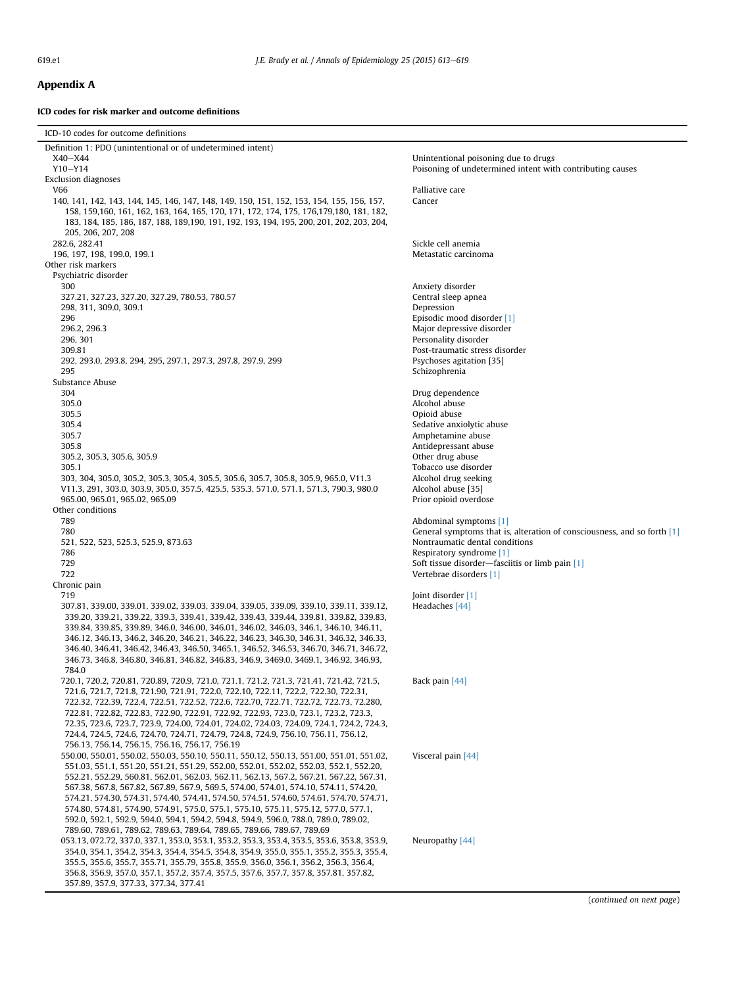## Appendix A

ICD codes for risk marker and outcome definitions

| ICD-10 codes for outcome definitions                                                                                                                                                                                                                                                                                                                                                                                                                                                                                                                                                                                                                                                                                   |                                                                             |
|------------------------------------------------------------------------------------------------------------------------------------------------------------------------------------------------------------------------------------------------------------------------------------------------------------------------------------------------------------------------------------------------------------------------------------------------------------------------------------------------------------------------------------------------------------------------------------------------------------------------------------------------------------------------------------------------------------------------|-----------------------------------------------------------------------------|
| Definition 1: PDO (unintentional or of undetermined intent)                                                                                                                                                                                                                                                                                                                                                                                                                                                                                                                                                                                                                                                            |                                                                             |
| $X40 - X44$                                                                                                                                                                                                                                                                                                                                                                                                                                                                                                                                                                                                                                                                                                            | Unintentional poisoning due to drugs                                        |
| $Y10-Y14$                                                                                                                                                                                                                                                                                                                                                                                                                                                                                                                                                                                                                                                                                                              | Poisoning of undetermined intent with contributing causes                   |
| <b>Exclusion diagnoses</b><br>V66                                                                                                                                                                                                                                                                                                                                                                                                                                                                                                                                                                                                                                                                                      | Palliative care                                                             |
| 140, 141, 142, 143, 144, 145, 146, 147, 148, 149, 150, 151, 152, 153, 154, 155, 156, 157,<br>158, 159, 160, 161, 162, 163, 164, 165, 170, 171, 172, 174, 175, 176, 179, 180, 181, 182,<br>183, 184, 185, 186, 187, 188, 189, 190, 191, 192, 193, 194, 195, 200, 201, 202, 203, 204,<br>205, 206, 207, 208                                                                                                                                                                                                                                                                                                                                                                                                              | Cancer                                                                      |
| 282.6, 282.41                                                                                                                                                                                                                                                                                                                                                                                                                                                                                                                                                                                                                                                                                                          | Sickle cell anemia                                                          |
| 196, 197, 198, 199.0, 199.1                                                                                                                                                                                                                                                                                                                                                                                                                                                                                                                                                                                                                                                                                            | Metastatic carcinoma                                                        |
| Other risk markers<br>Psychiatric disorder                                                                                                                                                                                                                                                                                                                                                                                                                                                                                                                                                                                                                                                                             |                                                                             |
| 300                                                                                                                                                                                                                                                                                                                                                                                                                                                                                                                                                                                                                                                                                                                    | Anxiety disorder                                                            |
| 327.21, 327.23, 327.20, 327.29, 780.53, 780.57                                                                                                                                                                                                                                                                                                                                                                                                                                                                                                                                                                                                                                                                         | Central sleep apnea                                                         |
| 298, 311, 309.0, 309.1                                                                                                                                                                                                                                                                                                                                                                                                                                                                                                                                                                                                                                                                                                 | Depression                                                                  |
| 296                                                                                                                                                                                                                                                                                                                                                                                                                                                                                                                                                                                                                                                                                                                    | Episodic mood disorder [1]                                                  |
| 296.2, 296.3                                                                                                                                                                                                                                                                                                                                                                                                                                                                                                                                                                                                                                                                                                           | Major depressive disorder                                                   |
| 296, 301<br>309.81                                                                                                                                                                                                                                                                                                                                                                                                                                                                                                                                                                                                                                                                                                     | Personality disorder<br>Post-traumatic stress disorder                      |
| 292, 293.0, 293.8, 294, 295, 297.1, 297.3, 297.8, 297.9, 299                                                                                                                                                                                                                                                                                                                                                                                                                                                                                                                                                                                                                                                           | Psychoses agitation [35]                                                    |
| 295                                                                                                                                                                                                                                                                                                                                                                                                                                                                                                                                                                                                                                                                                                                    | Schizophrenia                                                               |
| Substance Abuse                                                                                                                                                                                                                                                                                                                                                                                                                                                                                                                                                                                                                                                                                                        |                                                                             |
| 304                                                                                                                                                                                                                                                                                                                                                                                                                                                                                                                                                                                                                                                                                                                    | Drug dependence                                                             |
| 305.0                                                                                                                                                                                                                                                                                                                                                                                                                                                                                                                                                                                                                                                                                                                  | Alcohol abuse                                                               |
| 305.5<br>305.4                                                                                                                                                                                                                                                                                                                                                                                                                                                                                                                                                                                                                                                                                                         | Opioid abuse<br>Sedative anxiolytic abuse                                   |
| 305.7                                                                                                                                                                                                                                                                                                                                                                                                                                                                                                                                                                                                                                                                                                                  | Amphetamine abuse                                                           |
| 305.8                                                                                                                                                                                                                                                                                                                                                                                                                                                                                                                                                                                                                                                                                                                  | Antidepressant abuse                                                        |
| 305.2, 305.3, 305.6, 305.9                                                                                                                                                                                                                                                                                                                                                                                                                                                                                                                                                                                                                                                                                             | Other drug abuse                                                            |
| 305.1                                                                                                                                                                                                                                                                                                                                                                                                                                                                                                                                                                                                                                                                                                                  | Tobacco use disorder                                                        |
| 303, 304, 305.0, 305.2, 305.3, 305.4, 305.5, 305.6, 305.7, 305.8, 305.9, 965.0, V11.3                                                                                                                                                                                                                                                                                                                                                                                                                                                                                                                                                                                                                                  | Alcohol drug seeking                                                        |
| V11.3, 291, 303.0, 303.9, 305.0, 357.5, 425.5, 535.3, 571.0, 571.1, 571.3, 790.3, 980.0<br>965.00, 965.01, 965.02, 965.09                                                                                                                                                                                                                                                                                                                                                                                                                                                                                                                                                                                              | Alcohol abuse [35]<br>Prior opioid overdose                                 |
| Other conditions                                                                                                                                                                                                                                                                                                                                                                                                                                                                                                                                                                                                                                                                                                       |                                                                             |
| 789                                                                                                                                                                                                                                                                                                                                                                                                                                                                                                                                                                                                                                                                                                                    | Abdominal symptoms [1]                                                      |
| 780                                                                                                                                                                                                                                                                                                                                                                                                                                                                                                                                                                                                                                                                                                                    | General symptoms that is, alteration of consciousness, and so forth $[1]$   |
| 521, 522, 523, 525.3, 525.9, 873.63                                                                                                                                                                                                                                                                                                                                                                                                                                                                                                                                                                                                                                                                                    | Nontraumatic dental conditions                                              |
| 786<br>729                                                                                                                                                                                                                                                                                                                                                                                                                                                                                                                                                                                                                                                                                                             | Respiratory syndrome [1]<br>Soft tissue disorder-fasciitis or limb pain [1] |
| 722                                                                                                                                                                                                                                                                                                                                                                                                                                                                                                                                                                                                                                                                                                                    | Vertebrae disorders [1]                                                     |
| Chronic pain                                                                                                                                                                                                                                                                                                                                                                                                                                                                                                                                                                                                                                                                                                           |                                                                             |
| 719<br>307.81, 339.00, 339.01, 339.02, 339.03, 339.04, 339.05, 339.09, 339.10, 339.11, 339.12,<br>339.20, 339.21, 339.22, 339.3, 339.41, 339.42, 339.43, 339.44, 339.81, 339.82, 339.83,<br>339.84, 339.85, 339.89, 346.0, 346.00, 346.01, 346.02, 346.03, 346.1, 346.10, 346.11,<br>346.12, 346.13, 346.2, 346.20, 346.21, 346.22, 346.23, 346.30, 346.31, 346.32, 346.33,<br>346.40, 346.41, 346.42, 346.43, 346.50, 3465.1, 346.52, 346.53, 346.70, 346.71, 346.72,<br>346.73, 346.8, 346.80, 346.81, 346.82, 346.83, 346.9, 3469.0, 3469.1, 346.92, 346.93,<br>784.0                                                                                                                                               | Joint disorder [1]<br>Headaches [44]                                        |
| 720.1, 720.2, 720.81, 720.89, 720.9, 721.0, 721.1, 721.2, 721.3, 721.41, 721.42, 721.5,<br>721.6, 721.7, 721.8, 721.90, 721.91, 722.0, 722.10, 722.11, 722.2, 722.30, 722.31,<br>722.32, 722.39, 722.4, 722.51, 722.52, 722.6, 722.70, 722.71, 722.72, 722.73, 72.280,<br>722.81, 722.82, 722.83, 722.90, 722.91, 722.92, 722.93, 723.0, 723.1, 723.2, 723.3,<br>72.35, 723.6, 723.7, 723.9, 724.00, 724.01, 724.02, 724.03, 724.09, 724.1, 724.2, 724.3,<br>724.4, 724.5, 724.6, 724.70, 724.71, 724.79, 724.8, 724.9, 756.10, 756.11, 756.12,<br>756.13, 756.14, 756.15, 756.16, 756.17, 756.19                                                                                                                      | Back pain [44]                                                              |
| 550.00, 550.01, 550.02, 550.03, 550.10, 550.11, 550.12, 550.13, 551.00, 551.01, 551.02,<br>551.03, 551.1, 551.20, 551.21, 551.29, 552.00, 552.01, 552.02, 552.03, 552.1, 552.20,<br>552.21, 552.29, 560.81, 562.01, 562.03, 562.11, 562.13, 567.2, 567.21, 567.22, 567.31,<br>567.38, 567.8, 567.82, 567.89, 567.9, 569.5, 574.00, 574.01, 574.10, 574.11, 574.20,<br>574.21, 574.30, 574.31, 574.40, 574.41, 574.50, 574.51, 574.60, 574.61, 574.70, 574.71,<br>574.80, 574.81, 574.90, 574.91, 575.0, 575.1, 575.10, 575.11, 575.12, 577.0, 577.1,<br>592.0, 592.1, 592.9, 594.0, 594.1, 594.2, 594.8, 594.9, 596.0, 788.0, 789.0, 789.02,<br>789.60, 789.61, 789.62, 789.63, 789.64, 789.65, 789.66, 789.67, 789.69 | Visceral pain [44]                                                          |
| 053.13, 072.72, 337.0, 337.1, 353.0, 353.1, 353.2, 353.3, 353.4, 353.5, 353.6, 353.8, 353.9,<br>354.0, 354.1, 354.2, 354.3, 354.4, 354.5, 354.8, 354.9, 355.0, 355.1, 355.2, 355.3, 355.4,<br>355.5, 355.6, 355.7, 355.71, 355.79, 355.8, 355.9, 356.0, 356.1, 356.2, 356.3, 356.4,<br>356.8, 356.9, 357.0, 357.1, 357.2, 357.4, 357.5, 357.6, 357.7, 357.8, 357.81, 357.82,<br>357.89, 357.9, 377.33, 377.34, 377.41                                                                                                                                                                                                                                                                                                  | Neuropathy [44]                                                             |